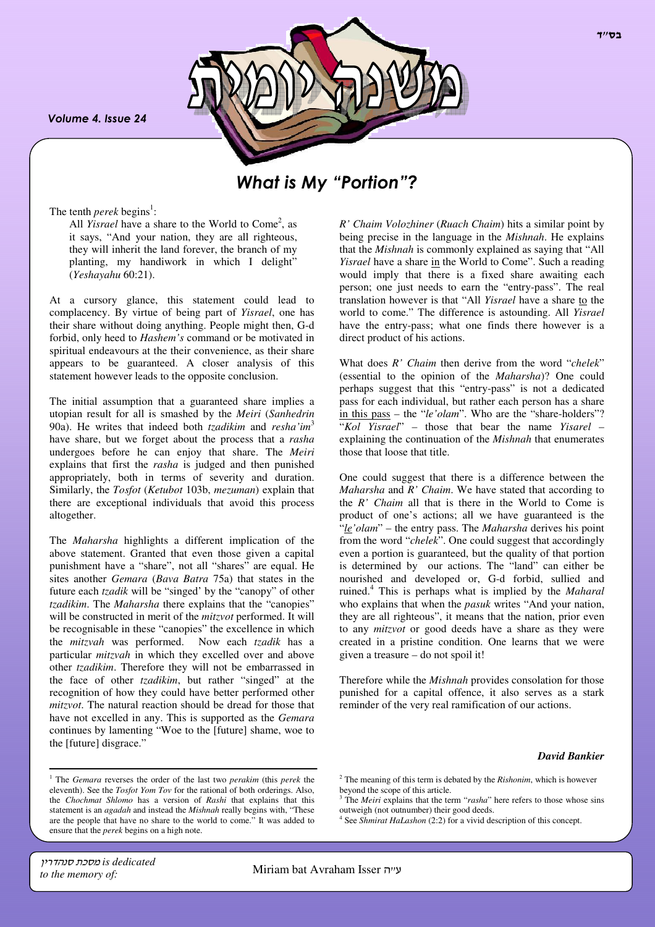Volume 4. Issue 24

.



# What is My "Portion"?

The tenth *perek* begins<sup>1</sup>:

All *Yisrael* have a share to the World to Come<sup>2</sup>, as it says, "And your nation, they are all righteous, they will inherit the land forever, the branch of my planting, my handiwork in which I delight" (*Yeshayahu* 60:21).

At a cursory glance, this statement could lead to complacency. By virtue of being part of *Yisrael*, one has their share without doing anything. People might then, G-d forbid, only heed to *Hashem's* command or be motivated in spiritual endeavours at the their convenience, as their share appears to be guaranteed. A closer analysis of this statement however leads to the opposite conclusion.

The initial assumption that a guaranteed share implies a utopian result for all is smashed by the *Meiri* (*Sanhedrin* 90a). He writes that indeed both *tzadikim* and *resha'im*<sup>3</sup> have share, but we forget about the process that a *rasha* undergoes before he can enjoy that share. The *Meiri* explains that first the *rasha* is judged and then punished appropriately, both in terms of severity and duration. Similarly, the *Tosfot* (*Ketubot* 103b, *mezuman*) explain that there are exceptional individuals that avoid this process altogether.

The *Maharsha* highlights a different implication of the above statement. Granted that even those given a capital punishment have a "share", not all "shares" are equal. He sites another *Gemara* (*Bava Batra* 75a) that states in the future each *tzadik* will be "singed' by the "canopy" of other *tzadikim*. The *Maharsha* there explains that the "canopies" will be constructed in merit of the *mitzvot* performed. It will be recognisable in these "canopies" the excellence in which the *mitzvah* was performed. Now each *tzadik* has a particular *mitzvah* in which they excelled over and above other *tzadikim*. Therefore they will not be embarrassed in the face of other *tzadikim*, but rather "singed" at the recognition of how they could have better performed other *mitzvot*. The natural reaction should be dread for those that have not excelled in any. This is supported as the *Gemara* continues by lamenting "Woe to the [future] shame, woe to the [future] disgrace."

*R' Chaim Volozhiner* (*Ruach Chaim*) hits a similar point by being precise in the language in the *Mishnah*. He explains that the *Mishnah* is commonly explained as saying that "All *Yisrael* have a share in the World to Come". Such a reading would imply that there is a fixed share awaiting each person; one just needs to earn the "entry-pass". The real translation however is that "All *Yisrael* have a share to the world to come." The difference is astounding. All *Yisrael* have the entry-pass; what one finds there however is a direct product of his actions.

What does *R' Chaim* then derive from the word "*chelek*" (essential to the opinion of the *Maharsha*)? One could perhaps suggest that this "entry-pass" is not a dedicated pass for each individual, but rather each person has a share in this pass – the "*le'olam*". Who are the "share-holders"? "*Kol Yisrael*" – those that bear the name *Yisarel* – explaining the continuation of the *Mishnah* that enumerates those that loose that title.

One could suggest that there is a difference between the *Maharsha* and *R' Chaim*. We have stated that according to the *R' Chaim* all that is there in the World to Come is product of one's actions; all we have guaranteed is the "*le'olam*" – the entry pass. The *Maharsha* derives his point from the word "*chelek*". One could suggest that accordingly even a portion is guaranteed, but the quality of that portion is determined by our actions. The "land" can either be nourished and developed or, G-d forbid, sullied and ruined.<sup>4</sup> This is perhaps what is implied by the *Maharal* who explains that when the *pasuk* writes "And your nation, they are all righteous", it means that the nation, prior even to any *mitzvot* or good deeds have a share as they were created in a pristine condition. One learns that we were given a treasure – do not spoil it!

Therefore while the *Mishnah* provides consolation for those punished for a capital offence, it also serves as a stark reminder of the very real ramification of our actions.

#### *David Bankier*

 $7''$ כל

<sup>1</sup> The *Gemara* reverses the order of the last two *perakim* (this *perek* the eleventh). See the *Tosfot Yom Tov* for the rational of both orderings. Also, the *Chochmat Shlomo* has a version of *Rashi* that explains that this statement is an *agadah* and instead the *Mishnah* really begins with, "These are the people that have no share to the world to come." It was added to ensure that the *perek* begins on a high note.

<sup>2</sup> The meaning of this term is debated by the *Rishonim*, which is however beyond the scope of this article.

<sup>&</sup>lt;sup>3</sup> The *Meiri* explains that the term "*rasha*" here refers to those whose sins outweigh (not outnumber) their good deeds.

<sup>&</sup>lt;sup>4</sup> See *Shmirat HaLashon* (2:2) for a vivid description of this concept.